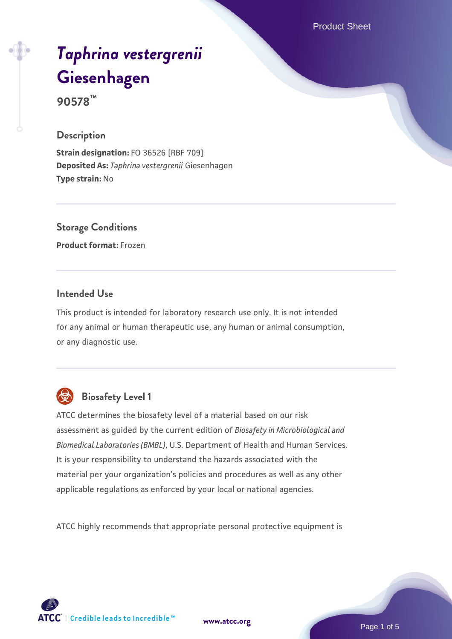Product Sheet

# *[Taphrina vestergrenii](https://www.atcc.org/products/90578)* **[Giesenhagen](https://www.atcc.org/products/90578)**

**90578™**

#### **Description**

**Strain designation:** FO 36526 [RBF 709] **Deposited As:** *Taphrina vestergrenii* Giesenhagen **Type strain:** No

# **Storage Conditions**

**Product format:** Frozen

#### **Intended Use**

This product is intended for laboratory research use only. It is not intended for any animal or human therapeutic use, any human or animal consumption, or any diagnostic use.



# **Biosafety Level 1**

ATCC determines the biosafety level of a material based on our risk assessment as guided by the current edition of *Biosafety in Microbiological and Biomedical Laboratories (BMBL)*, U.S. Department of Health and Human Services. It is your responsibility to understand the hazards associated with the material per your organization's policies and procedures as well as any other applicable regulations as enforced by your local or national agencies.

ATCC highly recommends that appropriate personal protective equipment is

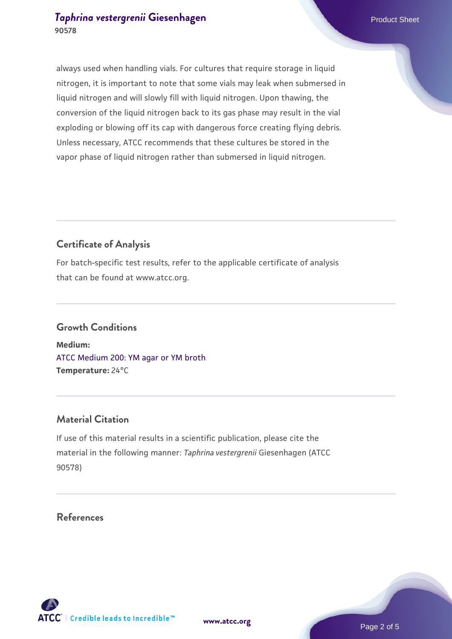#### **[Taphrina vestergrenii](https://www.atcc.org/products/90578) [Giesenhagen](https://www.atcc.org/products/90578)** Product Sheet **90578**

always used when handling vials. For cultures that require storage in liquid nitrogen, it is important to note that some vials may leak when submersed in liquid nitrogen and will slowly fill with liquid nitrogen. Upon thawing, the conversion of the liquid nitrogen back to its gas phase may result in the vial exploding or blowing off its cap with dangerous force creating flying debris. Unless necessary, ATCC recommends that these cultures be stored in the vapor phase of liquid nitrogen rather than submersed in liquid nitrogen.

### **Certificate of Analysis**

For batch-specific test results, refer to the applicable certificate of analysis that can be found at www.atcc.org.

## **Growth Conditions**

**Medium:**  [ATCC Medium 200: YM agar or YM broth](https://www.atcc.org/-/media/product-assets/documents/microbial-media-formulations/2/0/0/atcc-medium-200.pdf?rev=ac40fd74dc13433a809367b0b9da30fc) **Temperature:** 24°C

#### **Material Citation**

If use of this material results in a scientific publication, please cite the material in the following manner: *Taphrina vestergrenii* Giesenhagen (ATCC 90578)

#### **References**

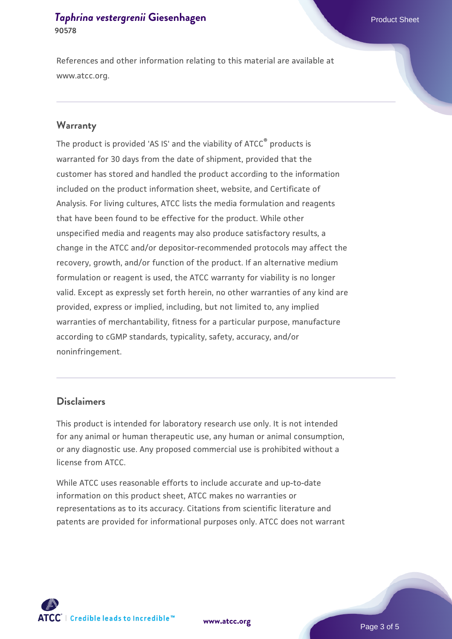#### **[Taphrina vestergrenii](https://www.atcc.org/products/90578) [Giesenhagen](https://www.atcc.org/products/90578)** Product Sheet **90578**

References and other information relating to this material are available at www.atcc.org.

#### **Warranty**

The product is provided 'AS IS' and the viability of ATCC® products is warranted for 30 days from the date of shipment, provided that the customer has stored and handled the product according to the information included on the product information sheet, website, and Certificate of Analysis. For living cultures, ATCC lists the media formulation and reagents that have been found to be effective for the product. While other unspecified media and reagents may also produce satisfactory results, a change in the ATCC and/or depositor-recommended protocols may affect the recovery, growth, and/or function of the product. If an alternative medium formulation or reagent is used, the ATCC warranty for viability is no longer valid. Except as expressly set forth herein, no other warranties of any kind are provided, express or implied, including, but not limited to, any implied warranties of merchantability, fitness for a particular purpose, manufacture according to cGMP standards, typicality, safety, accuracy, and/or noninfringement.

#### **Disclaimers**

This product is intended for laboratory research use only. It is not intended for any animal or human therapeutic use, any human or animal consumption, or any diagnostic use. Any proposed commercial use is prohibited without a license from ATCC.

While ATCC uses reasonable efforts to include accurate and up-to-date information on this product sheet, ATCC makes no warranties or representations as to its accuracy. Citations from scientific literature and patents are provided for informational purposes only. ATCC does not warrant

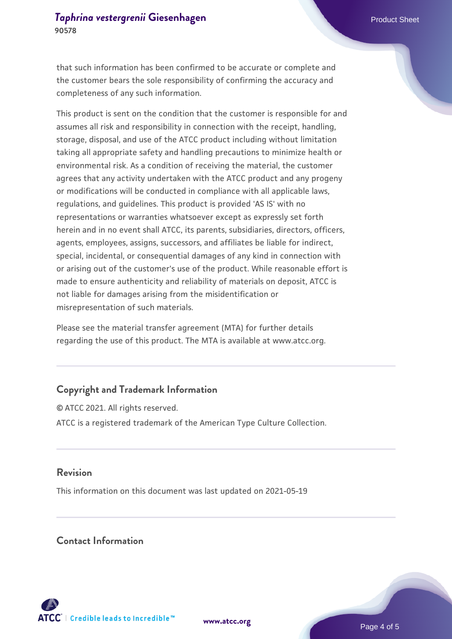that such information has been confirmed to be accurate or complete and the customer bears the sole responsibility of confirming the accuracy and completeness of any such information.

This product is sent on the condition that the customer is responsible for and assumes all risk and responsibility in connection with the receipt, handling, storage, disposal, and use of the ATCC product including without limitation taking all appropriate safety and handling precautions to minimize health or environmental risk. As a condition of receiving the material, the customer agrees that any activity undertaken with the ATCC product and any progeny or modifications will be conducted in compliance with all applicable laws, regulations, and guidelines. This product is provided 'AS IS' with no representations or warranties whatsoever except as expressly set forth herein and in no event shall ATCC, its parents, subsidiaries, directors, officers, agents, employees, assigns, successors, and affiliates be liable for indirect, special, incidental, or consequential damages of any kind in connection with or arising out of the customer's use of the product. While reasonable effort is made to ensure authenticity and reliability of materials on deposit, ATCC is not liable for damages arising from the misidentification or misrepresentation of such materials.

Please see the material transfer agreement (MTA) for further details regarding the use of this product. The MTA is available at www.atcc.org.

#### **Copyright and Trademark Information**

© ATCC 2021. All rights reserved. ATCC is a registered trademark of the American Type Culture Collection.

#### **Revision**

This information on this document was last updated on 2021-05-19

#### **Contact Information**